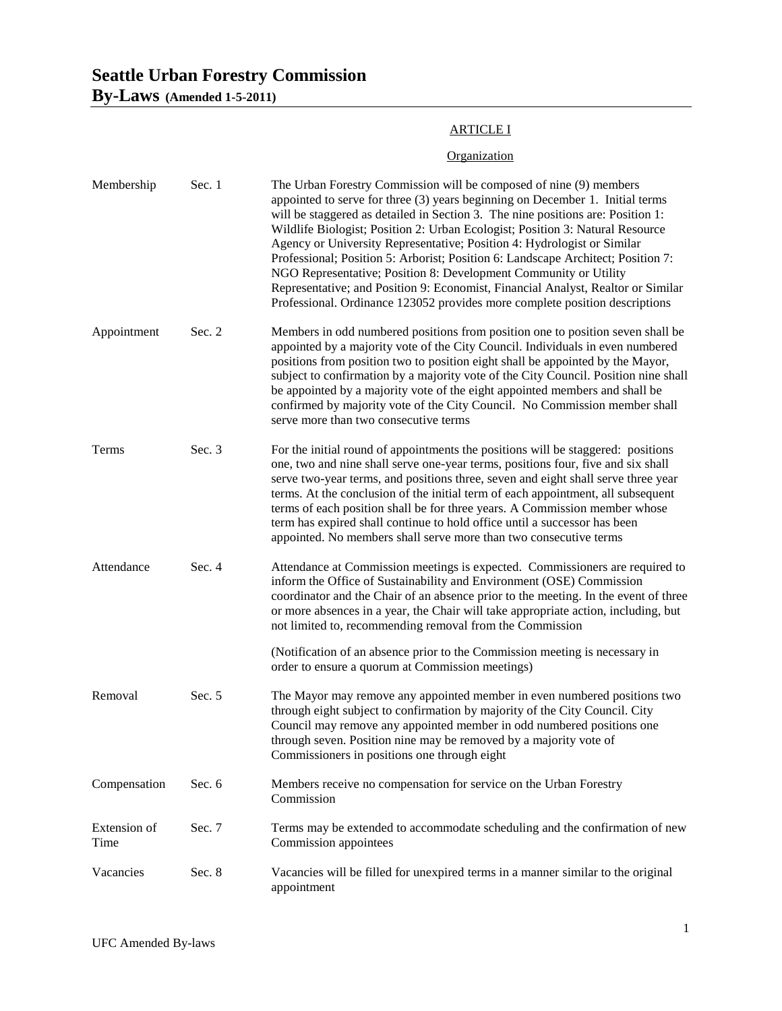# **Seattle Urban Forestry Commission**

**By-Laws (Amended 1-5-2011)**

## ARTICLE I

## **Organization**

| Membership           | Sec. 1 | The Urban Forestry Commission will be composed of nine (9) members<br>appointed to serve for three (3) years beginning on December 1. Initial terms<br>will be staggered as detailed in Section 3. The nine positions are: Position 1:<br>Wildlife Biologist; Position 2: Urban Ecologist; Position 3: Natural Resource<br>Agency or University Representative; Position 4: Hydrologist or Similar<br>Professional; Position 5: Arborist; Position 6: Landscape Architect; Position 7:<br>NGO Representative; Position 8: Development Community or Utility<br>Representative; and Position 9: Economist, Financial Analyst, Realtor or Similar<br>Professional. Ordinance 123052 provides more complete position descriptions |
|----------------------|--------|-------------------------------------------------------------------------------------------------------------------------------------------------------------------------------------------------------------------------------------------------------------------------------------------------------------------------------------------------------------------------------------------------------------------------------------------------------------------------------------------------------------------------------------------------------------------------------------------------------------------------------------------------------------------------------------------------------------------------------|
| Appointment          | Sec. 2 | Members in odd numbered positions from position one to position seven shall be<br>appointed by a majority vote of the City Council. Individuals in even numbered<br>positions from position two to position eight shall be appointed by the Mayor,<br>subject to confirmation by a majority vote of the City Council. Position nine shall<br>be appointed by a majority vote of the eight appointed members and shall be<br>confirmed by majority vote of the City Council. No Commission member shall<br>serve more than two consecutive terms                                                                                                                                                                               |
| Terms                | Sec. 3 | For the initial round of appointments the positions will be staggered: positions<br>one, two and nine shall serve one-year terms, positions four, five and six shall<br>serve two-year terms, and positions three, seven and eight shall serve three year<br>terms. At the conclusion of the initial term of each appointment, all subsequent<br>terms of each position shall be for three years. A Commission member whose<br>term has expired shall continue to hold office until a successor has been<br>appointed. No members shall serve more than two consecutive terms                                                                                                                                                 |
| Attendance           | Sec. 4 | Attendance at Commission meetings is expected. Commissioners are required to<br>inform the Office of Sustainability and Environment (OSE) Commission<br>coordinator and the Chair of an absence prior to the meeting. In the event of three<br>or more absences in a year, the Chair will take appropriate action, including, but<br>not limited to, recommending removal from the Commission<br>(Notification of an absence prior to the Commission meeting is necessary in                                                                                                                                                                                                                                                  |
|                      |        | order to ensure a quorum at Commission meetings)                                                                                                                                                                                                                                                                                                                                                                                                                                                                                                                                                                                                                                                                              |
| Removal              | Sec. 5 | The Mayor may remove any appointed member in even numbered positions two<br>through eight subject to confirmation by majority of the City Council. City<br>Council may remove any appointed member in odd numbered positions one<br>through seven. Position nine may be removed by a majority vote of<br>Commissioners in positions one through eight                                                                                                                                                                                                                                                                                                                                                                         |
| Compensation         | Sec. 6 | Members receive no compensation for service on the Urban Forestry<br>Commission                                                                                                                                                                                                                                                                                                                                                                                                                                                                                                                                                                                                                                               |
| Extension of<br>Time | Sec. 7 | Terms may be extended to accommodate scheduling and the confirmation of new<br>Commission appointees                                                                                                                                                                                                                                                                                                                                                                                                                                                                                                                                                                                                                          |
| Vacancies            | Sec. 8 | Vacancies will be filled for unexpired terms in a manner similar to the original<br>appointment                                                                                                                                                                                                                                                                                                                                                                                                                                                                                                                                                                                                                               |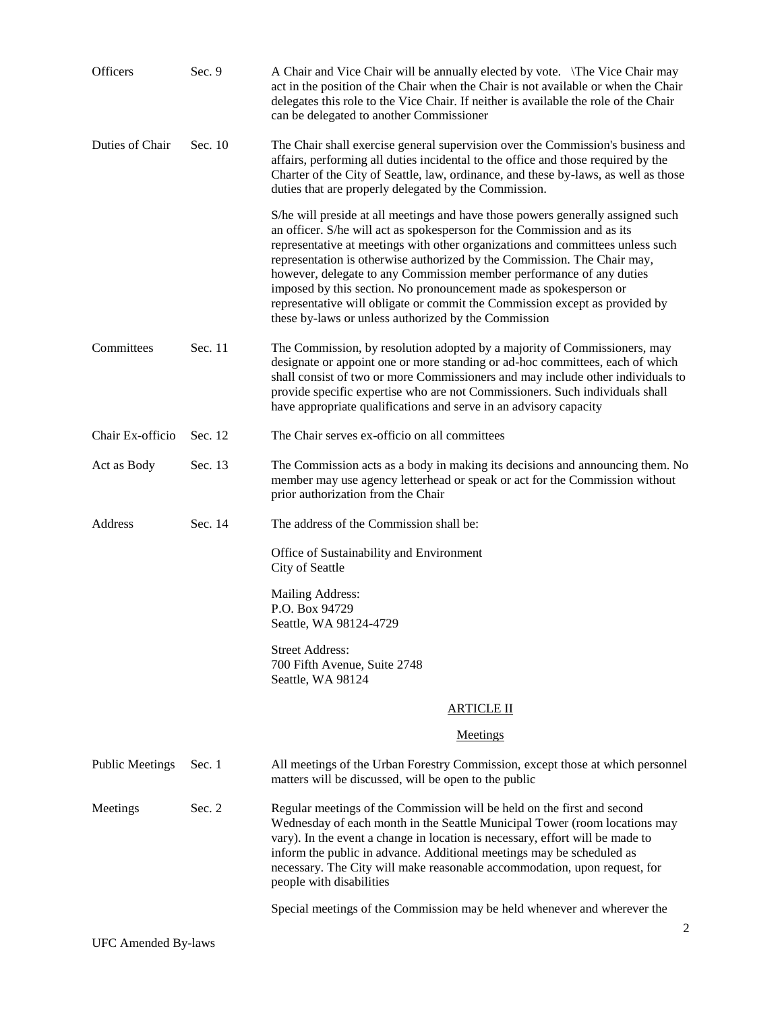| Officers               | Sec. 9   | A Chair and Vice Chair will be annually elected by vote. \The Vice Chair may<br>act in the position of the Chair when the Chair is not available or when the Chair<br>delegates this role to the Vice Chair. If neither is available the role of the Chair<br>can be delegated to another Commissioner                                                                                                                                                                                                                                                                                                       |
|------------------------|----------|--------------------------------------------------------------------------------------------------------------------------------------------------------------------------------------------------------------------------------------------------------------------------------------------------------------------------------------------------------------------------------------------------------------------------------------------------------------------------------------------------------------------------------------------------------------------------------------------------------------|
| Duties of Chair        | Sec. 10  | The Chair shall exercise general supervision over the Commission's business and<br>affairs, performing all duties incidental to the office and those required by the<br>Charter of the City of Seattle, law, ordinance, and these by-laws, as well as those<br>duties that are properly delegated by the Commission.                                                                                                                                                                                                                                                                                         |
|                        |          | S/he will preside at all meetings and have those powers generally assigned such<br>an officer. S/he will act as spokesperson for the Commission and as its<br>representative at meetings with other organizations and committees unless such<br>representation is otherwise authorized by the Commission. The Chair may,<br>however, delegate to any Commission member performance of any duties<br>imposed by this section. No pronouncement made as spokesperson or<br>representative will obligate or commit the Commission except as provided by<br>these by-laws or unless authorized by the Commission |
| Committees             | Sec. 11  | The Commission, by resolution adopted by a majority of Commissioners, may<br>designate or appoint one or more standing or ad-hoc committees, each of which<br>shall consist of two or more Commissioners and may include other individuals to<br>provide specific expertise who are not Commissioners. Such individuals shall<br>have appropriate qualifications and serve in an advisory capacity                                                                                                                                                                                                           |
| Chair Ex-officio       | Sec. 12  | The Chair serves ex-officio on all committees                                                                                                                                                                                                                                                                                                                                                                                                                                                                                                                                                                |
| Act as Body            | Sec. 13  | The Commission acts as a body in making its decisions and announcing them. No<br>member may use agency letterhead or speak or act for the Commission without<br>prior authorization from the Chair                                                                                                                                                                                                                                                                                                                                                                                                           |
| Address                | Sec. 14  | The address of the Commission shall be:                                                                                                                                                                                                                                                                                                                                                                                                                                                                                                                                                                      |
|                        |          | Office of Sustainability and Environment<br>City of Seattle                                                                                                                                                                                                                                                                                                                                                                                                                                                                                                                                                  |
|                        |          | Mailing Address:<br>P.O. Box 94729                                                                                                                                                                                                                                                                                                                                                                                                                                                                                                                                                                           |
|                        |          | Seattle, WA 98124-4729                                                                                                                                                                                                                                                                                                                                                                                                                                                                                                                                                                                       |
|                        |          | <b>Street Address:</b><br>700 Fifth Avenue, Suite 2748<br>Seattle, WA 98124                                                                                                                                                                                                                                                                                                                                                                                                                                                                                                                                  |
|                        |          | <u>ARTICLE II</u>                                                                                                                                                                                                                                                                                                                                                                                                                                                                                                                                                                                            |
|                        |          | <b>Meetings</b>                                                                                                                                                                                                                                                                                                                                                                                                                                                                                                                                                                                              |
| <b>Public Meetings</b> | Sec. 1   | All meetings of the Urban Forestry Commission, except those at which personnel<br>matters will be discussed, will be open to the public                                                                                                                                                                                                                                                                                                                                                                                                                                                                      |
| Meetings               | Sec. $2$ | Regular meetings of the Commission will be held on the first and second<br>Wednesday of each month in the Seattle Municipal Tower (room locations may<br>vary). In the event a change in location is necessary, effort will be made to<br>inform the public in advance. Additional meetings may be scheduled as<br>necessary. The City will make reasonable accommodation, upon request, for<br>people with disabilities                                                                                                                                                                                     |
|                        |          | Special meetings of the Commission may be held whenever and wherever the<br>2                                                                                                                                                                                                                                                                                                                                                                                                                                                                                                                                |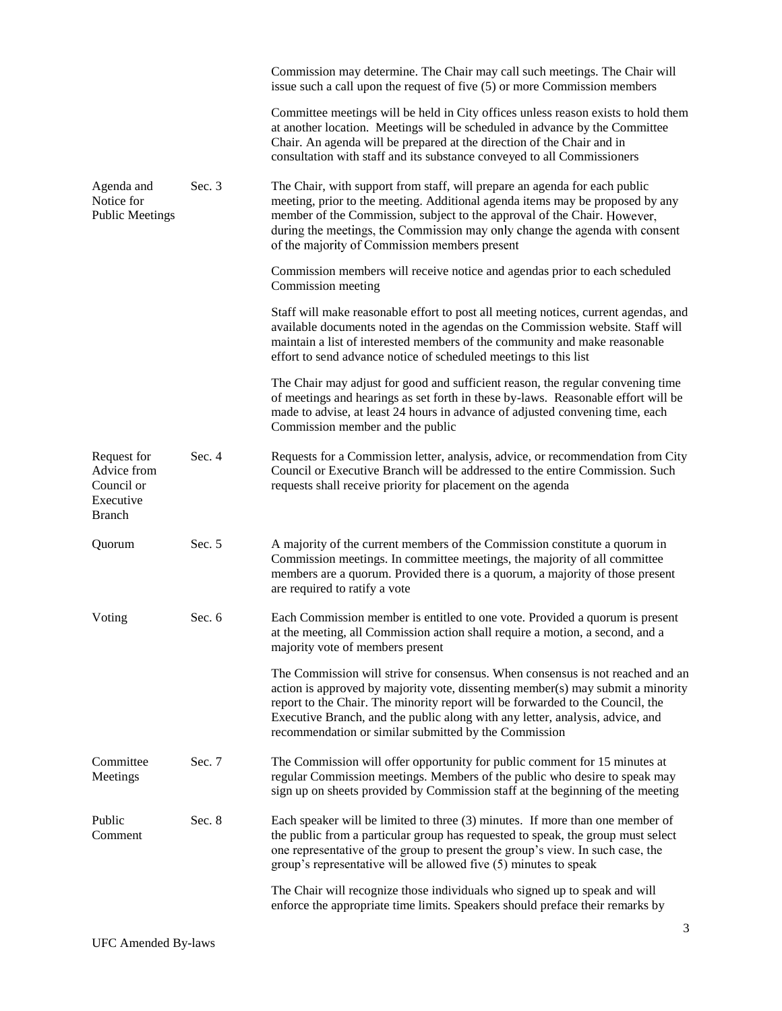|                                                                        |          | Commission may determine. The Chair may call such meetings. The Chair will<br>issue such a call upon the request of five (5) or more Commission members                                                                                                                                                                                                                                       |
|------------------------------------------------------------------------|----------|-----------------------------------------------------------------------------------------------------------------------------------------------------------------------------------------------------------------------------------------------------------------------------------------------------------------------------------------------------------------------------------------------|
|                                                                        |          | Committee meetings will be held in City offices unless reason exists to hold them<br>at another location. Meetings will be scheduled in advance by the Committee<br>Chair. An agenda will be prepared at the direction of the Chair and in<br>consultation with staff and its substance conveyed to all Commissioners                                                                         |
| Agenda and<br>Notice for<br><b>Public Meetings</b>                     | Sec. $3$ | The Chair, with support from staff, will prepare an agenda for each public<br>meeting, prior to the meeting. Additional agenda items may be proposed by any<br>member of the Commission, subject to the approval of the Chair. However,<br>during the meetings, the Commission may only change the agenda with consent<br>of the majority of Commission members present                       |
|                                                                        |          | Commission members will receive notice and agendas prior to each scheduled<br>Commission meeting                                                                                                                                                                                                                                                                                              |
|                                                                        |          | Staff will make reasonable effort to post all meeting notices, current agendas, and<br>available documents noted in the agendas on the Commission website. Staff will<br>maintain a list of interested members of the community and make reasonable<br>effort to send advance notice of scheduled meetings to this list                                                                       |
|                                                                        |          | The Chair may adjust for good and sufficient reason, the regular convening time<br>of meetings and hearings as set forth in these by-laws. Reasonable effort will be<br>made to advise, at least 24 hours in advance of adjusted convening time, each<br>Commission member and the public                                                                                                     |
| Request for<br>Advice from<br>Council or<br>Executive<br><b>Branch</b> | Sec. 4   | Requests for a Commission letter, analysis, advice, or recommendation from City<br>Council or Executive Branch will be addressed to the entire Commission. Such<br>requests shall receive priority for placement on the agenda                                                                                                                                                                |
| Quorum                                                                 | Sec. 5   | A majority of the current members of the Commission constitute a quorum in<br>Commission meetings. In committee meetings, the majority of all committee<br>members are a quorum. Provided there is a quorum, a majority of those present<br>are required to ratify a vote                                                                                                                     |
| Voting                                                                 | Sec. 6   | Each Commission member is entitled to one vote. Provided a quorum is present<br>at the meeting, all Commission action shall require a motion, a second, and a<br>majority vote of members present                                                                                                                                                                                             |
|                                                                        |          | The Commission will strive for consensus. When consensus is not reached and an<br>action is approved by majority vote, dissenting member(s) may submit a minority<br>report to the Chair. The minority report will be forwarded to the Council, the<br>Executive Branch, and the public along with any letter, analysis, advice, and<br>recommendation or similar submitted by the Commission |
| Committee<br>Meetings                                                  | Sec. 7   | The Commission will offer opportunity for public comment for 15 minutes at<br>regular Commission meetings. Members of the public who desire to speak may<br>sign up on sheets provided by Commission staff at the beginning of the meeting                                                                                                                                                    |
| Public<br>Comment                                                      | Sec. 8   | Each speaker will be limited to three (3) minutes. If more than one member of<br>the public from a particular group has requested to speak, the group must select<br>one representative of the group to present the group's view. In such case, the<br>group's representative will be allowed five (5) minutes to speak                                                                       |
|                                                                        |          | The Chair will recognize those individuals who signed up to speak and will<br>enforce the appropriate time limits. Speakers should preface their remarks by                                                                                                                                                                                                                                   |